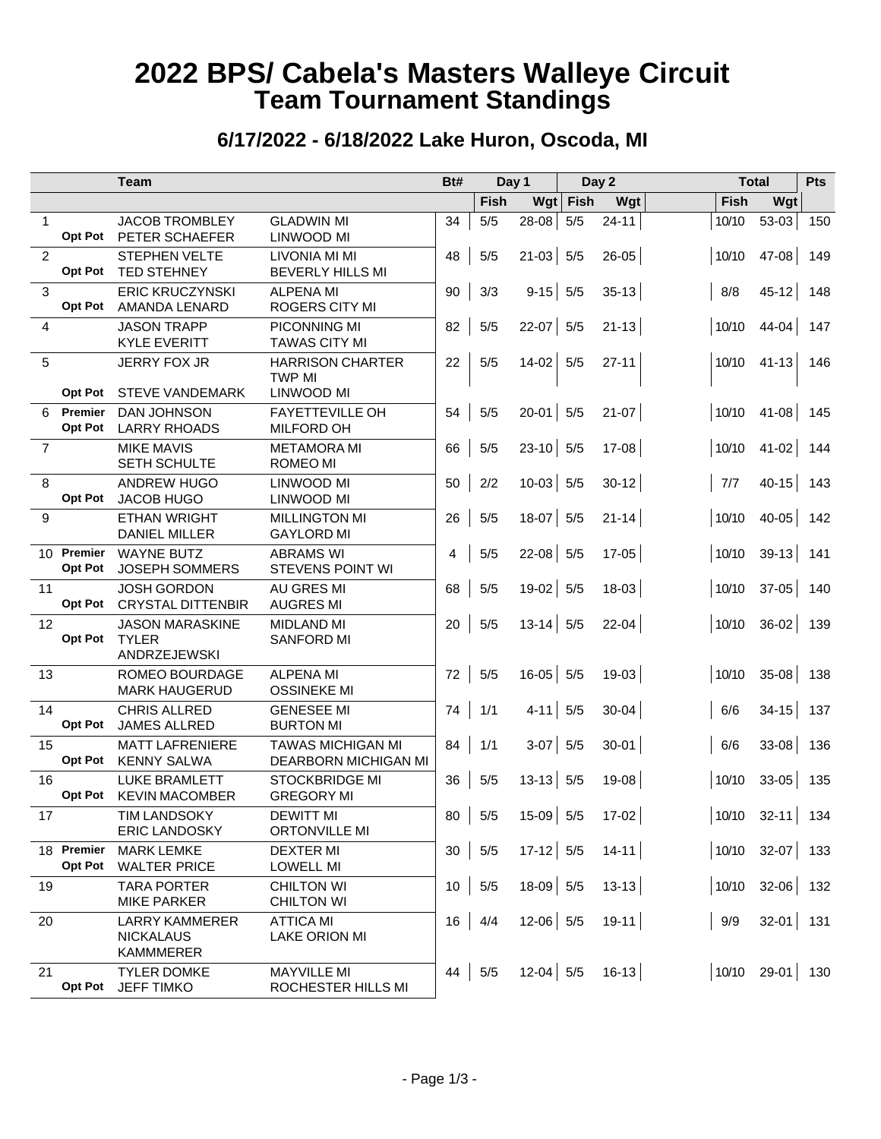# **2022 BPS/ Cabela's Masters Walleye Circuit Team Tournament Standings**

#### **6/17/2022 - 6/18/2022 Lake Huron, Oscoda, MI**

|                |                              | <b>Team</b>                                                   |                                                        | Bt#             | Day 1       |             | Day 2 |                                | <b>Total</b> |                           | Pts |
|----------------|------------------------------|---------------------------------------------------------------|--------------------------------------------------------|-----------------|-------------|-------------|-------|--------------------------------|--------------|---------------------------|-----|
|                |                              |                                                               |                                                        |                 | <b>Fish</b> | Wgt         | Fish  | Wgt                            | <b>Fish</b>  | Wgt                       |     |
| $\mathbf 1$    | Opt Pot                      | <b>JACOB TROMBLEY</b><br>PETER SCHAEFER                       | <b>GLADWIN MI</b><br>LINWOOD MI                        | 34              | 5/5         | $28-08$     | $5/5$ | $24 - 11$                      | 10/10        | 53-03                     | 150 |
| $\overline{2}$ | <b>Opt Pot</b>               | <b>STEPHEN VELTE</b><br><b>TED STEHNEY</b>                    | LIVONIA MI MI<br><b>BEVERLY HILLS MI</b>               | 48              | 5/5         | $21-03$ 5/5 |       | $26 - 05$                      | 10/10        | $47 - 08$                 | 149 |
| 3              | <b>Opt Pot</b>               | <b>ERIC KRUCZYNSKI</b><br>AMANDA LENARD                       | <b>ALPENA MI</b><br>ROGERS CITY MI                     | 90              | 3/3         | $9-15$ 5/5  |       | $35 - 13$                      | 8/8          | $45 - 12$                 | 148 |
| 4              |                              | <b>JASON TRAPP</b><br><b>KYLE EVERITT</b>                     | PICONNING MI<br><b>TAWAS CITY MI</b>                   | 82              | 5/5         | $22-07$ 5/5 |       | $21 - 13$                      | 10/10        | $44 - 04$                 | 147 |
| 5              | <b>Opt Pot</b>               | <b>JERRY FOX JR</b><br><b>STEVE VANDEMARK</b>                 | <b>HARRISON CHARTER</b><br>TWP MI<br><b>LINWOOD MI</b> | 22              | 5/5         | $14-02$     | 5/5   | $27 - 11$                      | 10/10        | $41 - 13$                 | 146 |
| 6              | Premier                      | <b>DAN JOHNSON</b>                                            | <b>FAYETTEVILLE OH</b>                                 | 54              | 5/5         | $20 - 01$   | 5/5   | $21-07$                        | 10/10        | $41 - 08$                 | 145 |
|                | <b>Opt Pot</b>               | <b>LARRY RHOADS</b>                                           | <b>MILFORD OH</b>                                      |                 |             |             |       |                                |              |                           |     |
| $\overline{7}$ |                              | <b>MIKE MAVIS</b><br>SETH SCHULTE                             | <b>METAMORA MI</b><br>ROMEO MI                         | 66              | 5/5         | $23-10$ 5/5 |       | $17-08$                        | 10/10        | $41 - 02$                 | 144 |
| 8              | <b>Opt Pot</b>               | <b>ANDREW HUGO</b><br>JACOB HUGO                              | LINWOOD MI<br>LINWOOD MI                               | 50              | 2/2         | $10-03$ 5/5 |       | $30 - 12$                      | 7/7          | $40 - 15$                 | 143 |
| 9              |                              | <b>ETHAN WRIGHT</b><br><b>DANIEL MILLER</b>                   | <b>MILLINGTON MI</b><br><b>GAYLORD MI</b>              | 26              | 5/5         | $18-07$     | 5/5   | $21 - 14$                      | 10/10        | $40 - 05$                 | 142 |
|                | 10 Premier<br><b>Opt Pot</b> | <b>WAYNE BUTZ</b><br><b>JOSEPH SOMMERS</b>                    | <b>ABRAMS WI</b><br><b>STEVENS POINT WI</b>            | 4               | 5/5         | $22-08$ 5/5 |       | $17-05$                        | 10/10        | $39-13$                   | 141 |
| 11             | <b>Opt Pot</b>               | <b>JOSH GORDON</b><br><b>CRYSTAL DITTENBIR</b>                | <b>AU GRES MI</b><br><b>AUGRES MI</b>                  | 68              | 5/5         | $19-02$ 5/5 |       | $18 - 03$                      | 10/10        | $37 - 05$                 | 140 |
| 12             | <b>Opt Pot</b>               | <b>JASON MARASKINE</b><br><b>TYLER</b><br><b>ANDRZEJEWSKI</b> | <b>MIDLAND MI</b><br><b>SANFORD MI</b>                 | 20              | 5/5         | $13-14$ 5/5 |       | $22 - 04$                      | 10/10        | $36-02$                   | 139 |
| 13             |                              | ROMEO BOURDAGE<br><b>MARK HAUGERUD</b>                        | <b>ALPENA MI</b><br><b>OSSINEKE MI</b>                 | 72              | 5/5         | $16-05$ 5/5 |       | 19-03                          | 10/10        | $35-08$                   | 138 |
| 14             | Opt Pot                      | <b>CHRIS ALLRED</b><br><b>JAMES ALLRED</b>                    | <b>GENESEE MI</b><br><b>BURTON MI</b>                  | 74              | 1/1         | $4-11$ 5/5  |       | $30 - 04$                      | 6/6          | $34-15$                   | 137 |
| 15             | <b>Opt Pot</b>               | <b>MATT LAFRENIERE</b><br><b>KENNY SALWA</b>                  | <b>TAWAS MICHIGAN MI</b><br>DEARBORN MICHIGAN MI       | 84              | 1/1         | $3-07$ 5/5  |       | $30 - 01$                      | 6/6          | $33 - 08$                 | 136 |
| 16             | <b>Opt Pot</b>               | <b>LUKE BRAMLETT</b><br><b>KEVIN MACOMBER</b>                 | <b>STOCKBRIDGE MI</b><br><b>GREGORY MI</b>             | 36              | 5/5         | $13-13$ 5/5 |       | 19-08                          | 10/10        | $33 - 05$                 | 135 |
| 17             |                              | <b>TIM LANDSOKY</b><br><b>ERIC LANDOSKY</b>                   | <b>DEWITT MI</b><br><b>ORTONVILLE MI</b>               |                 |             |             |       | $80   5/5 15-09   5/5 17-02  $ |              | $ 10/10$ 32-11 134        |     |
|                | 18 Premier<br><b>Opt Pot</b> | <b>MARK LEMKE</b><br><b>WALTER PRICE</b>                      | <b>DEXTER MI</b><br><b>LOWELL MI</b>                   | 30 <sup>°</sup> | 5/5         | $17-12$ 5/5 |       | $14 - 11$                      |              | $ 10/10$ 32-07 133        |     |
| 19             |                              | <b>TARA PORTER</b><br><b>MIKE PARKER</b>                      | <b>CHILTON WI</b><br><b>CHILTON WI</b>                 | 10 <sup>1</sup> | 5/5         | $18-09$ 5/5 |       | $13 - 13$                      |              | $ 10/10 \t32-06  \t132$   |     |
| 20             |                              | <b>LARRY KAMMERER</b><br><b>NICKALAUS</b><br><b>KAMMMERER</b> | <b>ATTICA MI</b><br><b>LAKE ORION MI</b>               | 16              | 4/4         | $12-06$ 5/5 |       | $19-11$                        | $\vert$ 9/9  | $32 - 01$ 131             |     |
| 21             | <b>Opt Pot</b>               | <b>TYLER DOMKE</b><br><b>JEFF TIMKO</b>                       | <b>MAYVILLE MI</b><br>ROCHESTER HILLS MI               | 44              | 5/5         | $12-04$ 5/5 |       | $16-13$                        |              | $ 10/10 \t 29-01  \t 130$ |     |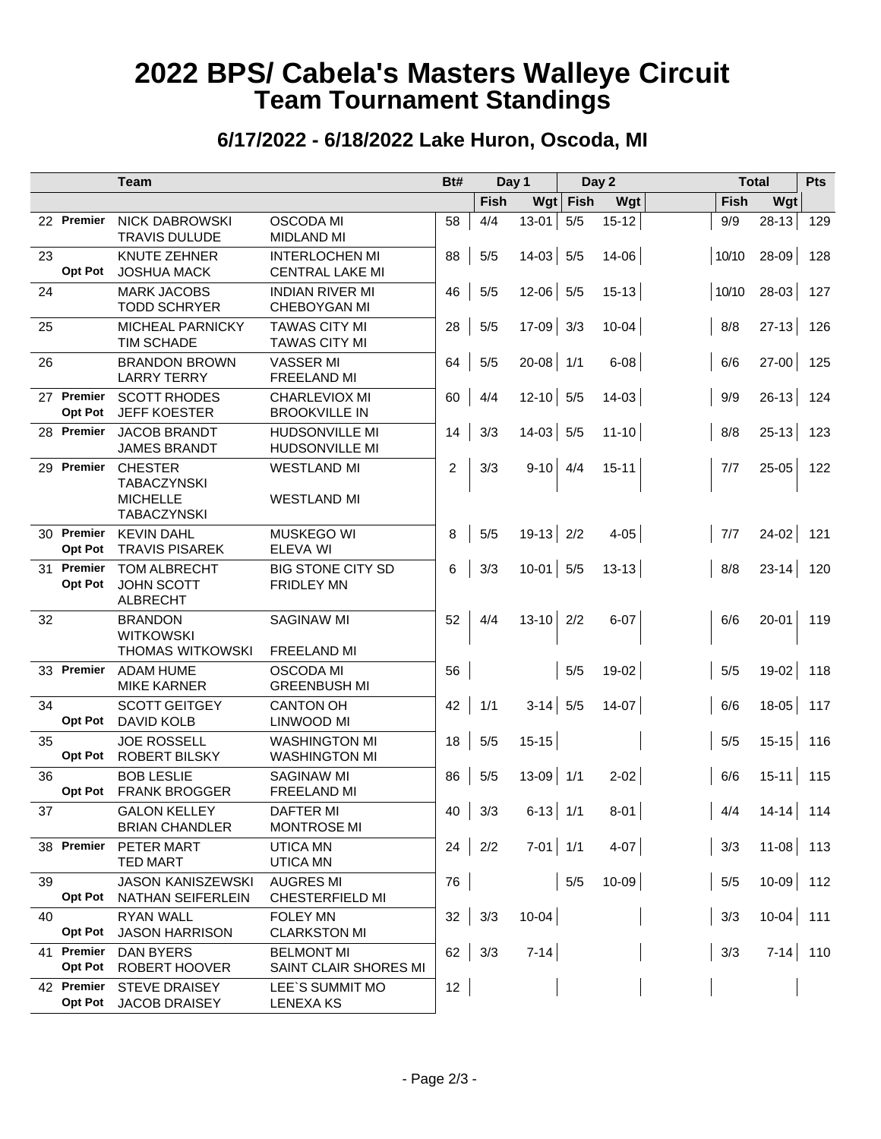# **2022 BPS/ Cabela's Masters Walleye Circuit Team Tournament Standings**

#### **6/17/2022 - 6/18/2022 Lake Huron, Oscoda, MI**

|                                 | <b>Team</b>                                                                   |                                                 | Bt#<br>Day 1   |               | Day 2       |      | <b>Total</b> |       | Pts         |     |
|---------------------------------|-------------------------------------------------------------------------------|-------------------------------------------------|----------------|---------------|-------------|------|--------------|-------|-------------|-----|
|                                 |                                                                               |                                                 |                | Fish          | Wgt         | Fish | Wgt          | Fish  | Wgt         |     |
| 22 Premier                      | <b>NICK DABROWSKI</b><br><b>TRAVIS DULUDE</b>                                 | <b>OSCODA MI</b><br><b>MIDLAND MI</b>           | 58             | 4/4           | $13 - 01$   | 5/5  | $15 - 12$    | 9/9   | $28 - 13$   | 129 |
| 23<br><b>Opt Pot</b>            | <b>KNUTE ZEHNER</b><br><b>JOSHUA MACK</b>                                     | <b>INTERLOCHEN MI</b><br><b>CENTRAL LAKE MI</b> | 88             | 5/5           | $14-03$ 5/5 |      | 14-06        | 10/10 | $28-09$     | 128 |
| 24                              | <b>MARK JACOBS</b><br><b>TODD SCHRYER</b>                                     | <b>INDIAN RIVER MI</b><br><b>CHEBOYGAN MI</b>   | 46             | 5/5           | $12-06$ 5/5 |      | $15 - 13$    | 10/10 | $28-03$     | 127 |
| 25                              | MICHEAL PARNICKY<br><b>TIM SCHADE</b>                                         | <b>TAWAS CITY MI</b><br><b>TAWAS CITY MI</b>    | 28             | 5/5           | $17-09$ 3/3 |      | $10 - 04$    | 8/8   | $27 - 13$   | 126 |
| 26                              | <b>BRANDON BROWN</b><br><b>LARRY TERRY</b>                                    | <b>VASSER MI</b><br>FREELAND MI                 | 64             | 5/5           | $20-08$ 1/1 |      | $6 - 08$     | 6/6   | $27 - 00$   | 125 |
| 27 Premier<br><b>Opt Pot</b>    | <b>SCOTT RHODES</b><br><b>JEFF KOESTER</b>                                    | CHARLEVIOX MI<br><b>BROOKVILLE IN</b>           | 60             | 4/4           | $12-10$ 5/5 |      | $14 - 03$    | 9/9   | $26-13$     | 124 |
| 28 Premier                      | <b>JACOB BRANDT</b><br><b>JAMES BRANDT</b>                                    | <b>HUDSONVILLE MI</b><br><b>HUDSONVILLE MI</b>  | 14             | 3/3           | $14-03$ 5/5 |      | $11 - 10$    | 8/8   | $25 - 13$   | 123 |
| 29 Premier                      | <b>CHESTER</b><br><b>TABACZYNSKI</b><br><b>MICHELLE</b><br><b>TABACZYNSKI</b> | <b>WESTLAND MI</b><br><b>WESTLAND MI</b>        | $\overline{c}$ | 3/3           | $9-10$ 4/4  |      | $15 - 11$    | 7/7   | 25-05       | 122 |
| 30 Premier<br><b>Opt Pot</b>    | <b>KEVIN DAHL</b><br><b>TRAVIS PISAREK</b>                                    | <b>MUSKEGO WI</b><br>ELEVA WI                   | 8              | $5/5$         | $19-13$ 2/2 |      | $4 - 05$     | 7/7   | $24-02$     | 121 |
| Premier<br>31<br><b>Opt Pot</b> | <b>TOM ALBRECHT</b><br><b>JOHN SCOTT</b><br><b>ALBRECHT</b>                   | <b>BIG STONE CITY SD</b><br><b>FRIDLEY MN</b>   | 6              | 3/3           | $10-01$ 5/5 |      | $13 - 13$    | 8/8   | $23 - 14$   | 120 |
| 32                              | <b>BRANDON</b><br><b>WITKOWSKI</b>                                            | <b>SAGINAW MI</b>                               | 52             | 4/4           | $13-10$ 2/2 |      | $6 - 07$     | 6/6   | $20 - 01$   | 119 |
|                                 | <b>THOMAS WITKOWSKI</b>                                                       | FREELAND MI                                     |                |               |             |      |              |       |             |     |
| 33 Premier                      | <b>ADAM HUME</b><br><b>MIKE KARNER</b>                                        | OSCODA MI<br><b>GREENBUSH MI</b>                | 56             |               |             | 5/5  | 19-02        | 5/5   | $19-02$     | 118 |
| 34<br><b>Opt Pot</b>            | <b>SCOTT GEITGEY</b><br><b>DAVID KOLB</b>                                     | <b>CANTON OH</b><br>LINWOOD MI                  | 42             | 1/1           | $3-14$ 5/5  |      | $14-07$      | 6/6   | $18-05$ 117 |     |
| 35<br><b>Opt Pot</b>            | <b>JOE ROSSELL</b><br><b>ROBERT BILSKY</b>                                    | <b>WASHINGTON MI</b><br><b>WASHINGTON MI</b>    | 18             | 5/5           | $15-15$     |      |              | 5/5   | $15-15$     | 116 |
| 36<br>Opt Pot                   | <b>BOB LESLIE</b><br><b>FRANK BROGGER</b>                                     | <b>SAGINAW MI</b><br>FREELAND MI                | 86             | 5/5           | $13-09$ 1/1 |      | $2 - 02$     | 6/6   | $15 - 11$   | 115 |
| 37                              | <b>GALON KELLEY</b><br><b>BRIAN CHANDLER</b>                                  | <b>DAFTER MI</b><br><b>MONTROSE MI</b>          |                | $40 \mid 3/3$ | $6-13$ 1/1  |      | $8-01$       | 4/4   | $14-14$ 114 |     |
| 38 Premier                      | PETER MART<br>TED MART                                                        | <b>UTICA MN</b><br><b>UTICA MN</b>              |                | $24 \mid 2/2$ | $7-01$ 1/1  |      | $4-07$       | 3/3   | $11-08$ 113 |     |
| 39<br>Opt Pot                   | <b>JASON KANISZEWSKI</b><br>NATHAN SEIFERLEIN                                 | <b>AUGRES MI</b><br>CHESTERFIELD MI             | 76             |               |             | 5/5  | $10-09$      | 5/5   | $10-09$ 112 |     |
| 40<br><b>Opt Pot</b>            | <b>RYAN WALL</b><br><b>JASON HARRISON</b>                                     | <b>FOLEY MN</b><br><b>CLARKSTON MI</b>          |                | $32 \mid 3/3$ | $10-04$     |      |              | 3/3   | $10-04$ 111 |     |
| 41 Premier<br><b>Opt Pot</b>    | DAN BYERS<br>ROBERT HOOVER                                                    | <b>BELMONT MI</b><br>SAINT CLAIR SHORES MI      |                | $62 \mid 3/3$ | $7-14$      |      |              | 3/3   | $7-14$ 110  |     |
| 42 Premier                      | <b>STEVE DRAISEY</b><br>Opt Pot JACOB DRAISEY                                 | LEE'S SUMMIT MO<br><b>LENEXA KS</b>             | 12             |               |             |      |              |       |             |     |